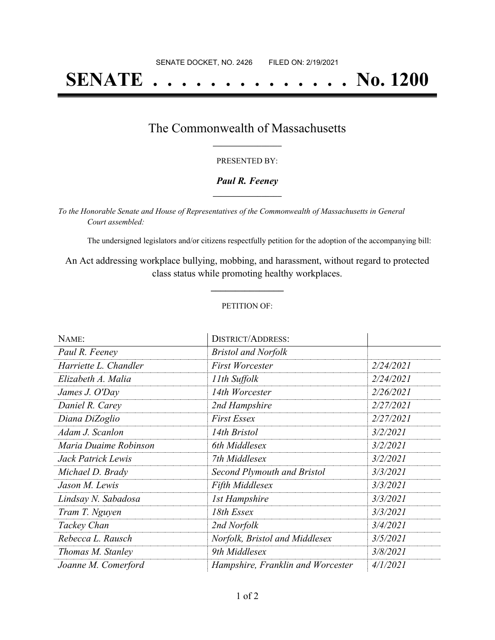## **SENATE . . . . . . . . . . . . . . No. 1200**

### The Commonwealth of Massachusetts **\_\_\_\_\_\_\_\_\_\_\_\_\_\_\_\_\_**

#### PRESENTED BY:

#### *Paul R. Feeney* **\_\_\_\_\_\_\_\_\_\_\_\_\_\_\_\_\_**

*To the Honorable Senate and House of Representatives of the Commonwealth of Massachusetts in General Court assembled:*

The undersigned legislators and/or citizens respectfully petition for the adoption of the accompanying bill:

An Act addressing workplace bullying, mobbing, and harassment, without regard to protected class status while promoting healthy workplaces.

**\_\_\_\_\_\_\_\_\_\_\_\_\_\_\_**

#### PETITION OF:

| NAME:                 | <b>DISTRICT/ADDRESS:</b>          |           |
|-----------------------|-----------------------------------|-----------|
| Paul R. Feeney        | <b>Bristol and Norfolk</b>        |           |
| Harriette L. Chandler | <b>First Worcester</b>            | 2/24/2021 |
| Elizabeth A. Malia    | 11th Suffolk                      | 2/24/2021 |
| James J. O'Day        | 14th Worcester                    | 2/26/2021 |
| Daniel R. Carey       | 2nd Hampshire                     | 2/27/2021 |
| Diana DiZoglio        | <b>First Essex</b>                | 2/27/2021 |
| Adam J. Scanlon       | 14th Bristol                      | 3/2/2021  |
| Maria Duaime Robinson | 6th Middlesex                     | 3/2/2021  |
| Jack Patrick Lewis    | 7th Middlesex                     | 3/2/2021  |
| Michael D. Brady      | Second Plymouth and Bristol       | 3/3/2021  |
| Jason M. Lewis        | <b>Fifth Middlesex</b>            | 3/3/2021  |
| Lindsay N. Sabadosa   | <b>1st Hampshire</b>              | 3/3/2021  |
| Tram T. Nguyen        | 18th Essex                        | 3/3/2021  |
| Tackey Chan           | 2nd Norfolk                       | 3/4/2021  |
| Rebecca L. Rausch     | Norfolk, Bristol and Middlesex    | 3/5/2021  |
| Thomas M. Stanley     | 9th Middlesex                     | 3/8/2021  |
| Joanne M. Comerford   | Hampshire, Franklin and Worcester | 4/1/2021  |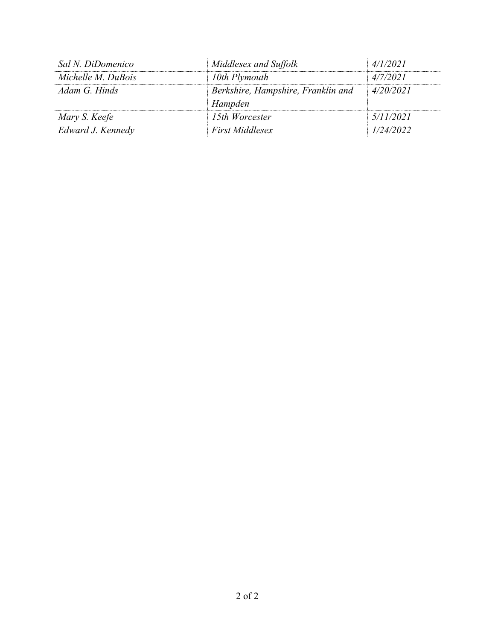| Sal N. DiDomenico  | Middlesex and Suffolk                         | 4/1/2021  |
|--------------------|-----------------------------------------------|-----------|
| Michelle M. DuBois | 10th Plymouth                                 | 4/7/2021  |
| Adam G. Hinds      | Berkshire, Hampshire, Franklin and<br>Hampden | 4/20/2021 |
| Mary S. Keefe      | 15th Worcester                                | 5/11/2021 |
| Edward J. Kennedy  | <b>First Middlesex</b>                        | 1/24/2022 |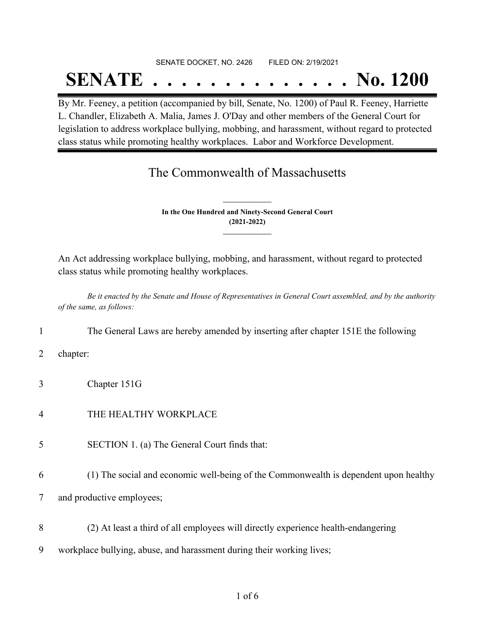## SENATE DOCKET, NO. 2426 FILED ON: 2/19/2021

# **SENATE . . . . . . . . . . . . . . No. 1200**

By Mr. Feeney, a petition (accompanied by bill, Senate, No. 1200) of Paul R. Feeney, Harriette L. Chandler, Elizabeth A. Malia, James J. O'Day and other members of the General Court for legislation to address workplace bullying, mobbing, and harassment, without regard to protected class status while promoting healthy workplaces. Labor and Workforce Development.

### The Commonwealth of Massachusetts

**In the One Hundred and Ninety-Second General Court (2021-2022) \_\_\_\_\_\_\_\_\_\_\_\_\_\_\_**

**\_\_\_\_\_\_\_\_\_\_\_\_\_\_\_**

An Act addressing workplace bullying, mobbing, and harassment, without regard to protected class status while promoting healthy workplaces.

Be it enacted by the Senate and House of Representatives in General Court assembled, and by the authority *of the same, as follows:*

- 1 The General Laws are hereby amended by inserting after chapter 151E the following
- 2 chapter:
- 3 Chapter 151G
- 4 THE HEALTHY WORKPLACE
- 5 SECTION 1. (a) The General Court finds that:
- 6 (1) The social and economic well-being of the Commonwealth is dependent upon healthy

7 and productive employees;

- 8 (2) At least a third of all employees will directly experience health-endangering
- 9 workplace bullying, abuse, and harassment during their working lives;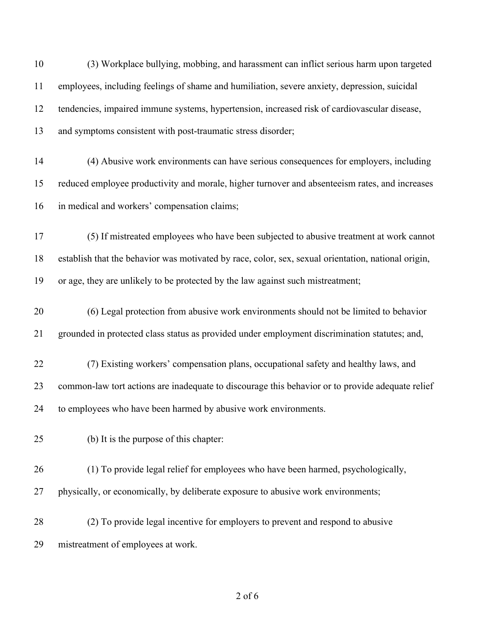| 10 | (3) Workplace bullying, mobbing, and harassment can inflict serious harm upon targeted              |
|----|-----------------------------------------------------------------------------------------------------|
| 11 | employees, including feelings of shame and humiliation, severe anxiety, depression, suicidal        |
| 12 | tendencies, impaired immune systems, hypertension, increased risk of cardiovascular disease,        |
| 13 | and symptoms consistent with post-traumatic stress disorder;                                        |
| 14 | (4) Abusive work environments can have serious consequences for employers, including                |
| 15 | reduced employee productivity and morale, higher turnover and absenteeism rates, and increases      |
| 16 | in medical and workers' compensation claims;                                                        |
| 17 | (5) If mistreated employees who have been subjected to abusive treatment at work cannot             |
| 18 | establish that the behavior was motivated by race, color, sex, sexual orientation, national origin, |
| 19 | or age, they are unlikely to be protected by the law against such mistreatment;                     |
| 20 | (6) Legal protection from abusive work environments should not be limited to behavior               |
| 21 | grounded in protected class status as provided under employment discrimination statutes; and,       |
| 22 | (7) Existing workers' compensation plans, occupational safety and healthy laws, and                 |
| 23 | common-law tort actions are inadequate to discourage this behavior or to provide adequate relief    |
| 24 | to employees who have been harmed by abusive work environments.                                     |
| 25 | (b) It is the purpose of this chapter:                                                              |
| 26 | (1) To provide legal relief for employees who have been harmed, psychologically,                    |
| 27 | physically, or economically, by deliberate exposure to abusive work environments;                   |
| 28 | (2) To provide legal incentive for employers to prevent and respond to abusive                      |
| 29 | mistreatment of employees at work.                                                                  |
|    |                                                                                                     |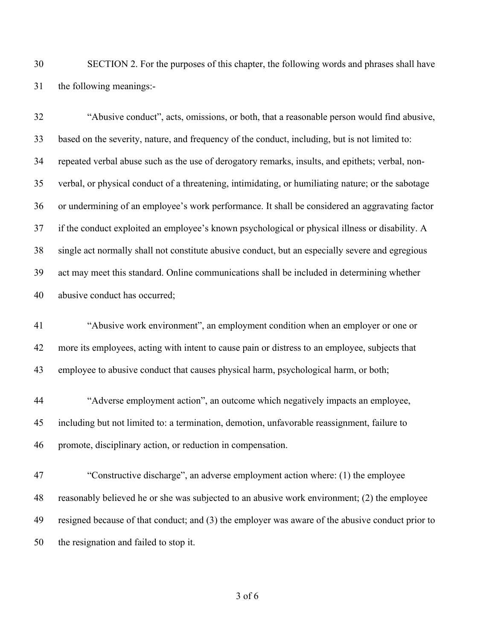SECTION 2. For the purposes of this chapter, the following words and phrases shall have the following meanings:-

 "Abusive conduct", acts, omissions, or both, that a reasonable person would find abusive, based on the severity, nature, and frequency of the conduct, including, but is not limited to: repeated verbal abuse such as the use of derogatory remarks, insults, and epithets; verbal, non- verbal, or physical conduct of a threatening, intimidating, or humiliating nature; or the sabotage or undermining of an employee's work performance. It shall be considered an aggravating factor if the conduct exploited an employee's known psychological or physical illness or disability. A single act normally shall not constitute abusive conduct, but an especially severe and egregious act may meet this standard. Online communications shall be included in determining whether abusive conduct has occurred;

 "Abusive work environment", an employment condition when an employer or one or more its employees, acting with intent to cause pain or distress to an employee, subjects that employee to abusive conduct that causes physical harm, psychological harm, or both;

 "Adverse employment action", an outcome which negatively impacts an employee, including but not limited to: a termination, demotion, unfavorable reassignment, failure to promote, disciplinary action, or reduction in compensation.

 "Constructive discharge", an adverse employment action where: (1) the employee reasonably believed he or she was subjected to an abusive work environment; (2) the employee resigned because of that conduct; and (3) the employer was aware of the abusive conduct prior to the resignation and failed to stop it.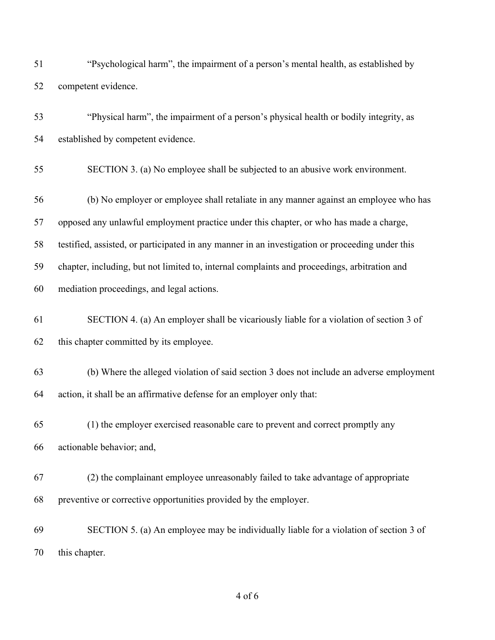| 51 | "Psychological harm", the impairment of a person's mental health, as established by             |
|----|-------------------------------------------------------------------------------------------------|
| 52 | competent evidence.                                                                             |
| 53 | "Physical harm", the impairment of a person's physical health or bodily integrity, as           |
| 54 | established by competent evidence.                                                              |
| 55 | SECTION 3. (a) No employee shall be subjected to an abusive work environment.                   |
| 56 | (b) No employer or employee shall retaliate in any manner against an employee who has           |
| 57 | opposed any unlawful employment practice under this chapter, or who has made a charge,          |
| 58 | testified, assisted, or participated in any manner in an investigation or proceeding under this |
| 59 | chapter, including, but not limited to, internal complaints and proceedings, arbitration and    |
| 60 | mediation proceedings, and legal actions.                                                       |
| 61 | SECTION 4. (a) An employer shall be vicariously liable for a violation of section 3 of          |
| 62 | this chapter committed by its employee.                                                         |
| 63 | (b) Where the alleged violation of said section 3 does not include an adverse employment        |
| 64 | action, it shall be an affirmative defense for an employer only that:                           |
| 65 | (1) the employer exercised reasonable care to prevent and correct promptly any                  |
| 66 | actionable behavior; and,                                                                       |
| 67 | (2) the complainant employee unreasonably failed to take advantage of appropriate               |
| 68 | preventive or corrective opportunities provided by the employer.                                |
| 69 | SECTION 5. (a) An employee may be individually liable for a violation of section 3 of           |
| 70 | this chapter.                                                                                   |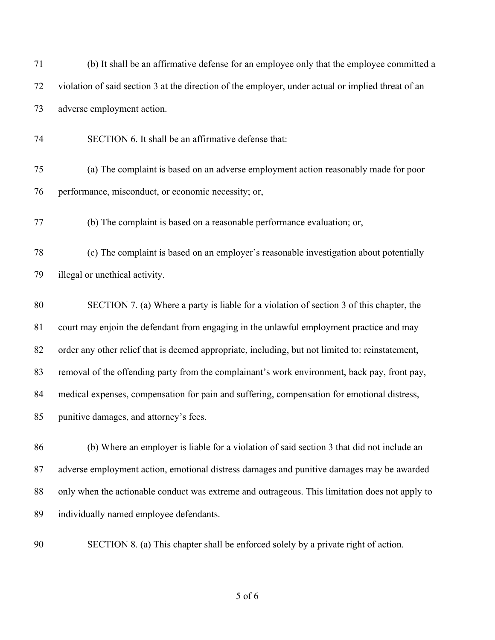| 71 | (b) It shall be an affirmative defense for an employee only that the employee committed a          |
|----|----------------------------------------------------------------------------------------------------|
| 72 | violation of said section 3 at the direction of the employer, under actual or implied threat of an |
| 73 | adverse employment action.                                                                         |
| 74 | SECTION 6. It shall be an affirmative defense that:                                                |
| 75 | (a) The complaint is based on an adverse employment action reasonably made for poor                |
| 76 | performance, misconduct, or economic necessity; or,                                                |
| 77 | (b) The complaint is based on a reasonable performance evaluation; or,                             |
| 78 | (c) The complaint is based on an employer's reasonable investigation about potentially             |
| 79 | illegal or unethical activity.                                                                     |
| 80 | SECTION 7. (a) Where a party is liable for a violation of section 3 of this chapter, the           |
| 81 | court may enjoin the defendant from engaging in the unlawful employment practice and may           |
| 82 | order any other relief that is deemed appropriate, including, but not limited to: reinstatement,   |
| 83 | removal of the offending party from the complainant's work environment, back pay, front pay,       |
| 84 | medical expenses, compensation for pain and suffering, compensation for emotional distress,        |
| 85 | punitive damages, and attorney's fees.                                                             |
| 86 | (b) Where an employer is liable for a violation of said section 3 that did not include an          |
| 87 | adverse employment action, emotional distress damages and punitive damages may be awarded          |
| 88 | only when the actionable conduct was extreme and outrageous. This limitation does not apply to     |
| 89 | individually named employee defendants.                                                            |
|    |                                                                                                    |

SECTION 8. (a) This chapter shall be enforced solely by a private right of action.